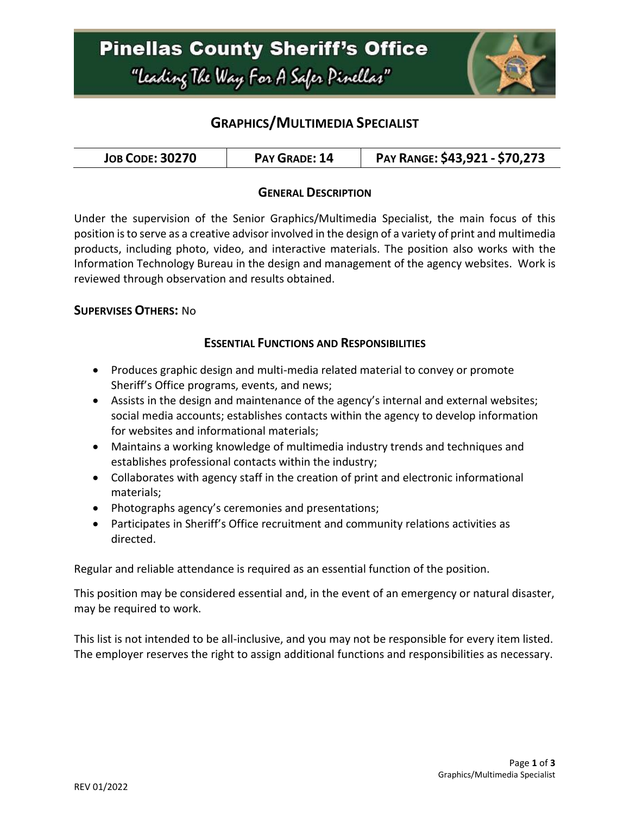

## **GRAPHICS/MULTIMEDIA SPECIALIST**

| <b>JOB CODE: 30270</b> | PAY GRADE: 14 | PAY RANGE: \$43,921 - \$70,273 |
|------------------------|---------------|--------------------------------|
|------------------------|---------------|--------------------------------|

### **GENERAL DESCRIPTION**

Under the supervision of the Senior Graphics/Multimedia Specialist, the main focus of this position is to serve as a creative advisor involved in the design of a variety of print and multimedia products, including photo, video, and interactive materials. The position also works with the Information Technology Bureau in the design and management of the agency websites. Work is reviewed through observation and results obtained.

#### **SUPERVISES OTHERS:** No

#### **ESSENTIAL FUNCTIONS AND RESPONSIBILITIES**

- Produces graphic design and multi-media related material to convey or promote Sheriff's Office programs, events, and news;
- Assists in the design and maintenance of the agency's internal and external websites; social media accounts; establishes contacts within the agency to develop information for websites and informational materials;
- Maintains a working knowledge of multimedia industry trends and techniques and establishes professional contacts within the industry;
- Collaborates with agency staff in the creation of print and electronic informational materials;
- Photographs agency's ceremonies and presentations;
- Participates in Sheriff's Office recruitment and community relations activities as directed.

Regular and reliable attendance is required as an essential function of the position.

This position may be considered essential and, in the event of an emergency or natural disaster, may be required to work.

This list is not intended to be all-inclusive, and you may not be responsible for every item listed. The employer reserves the right to assign additional functions and responsibilities as necessary.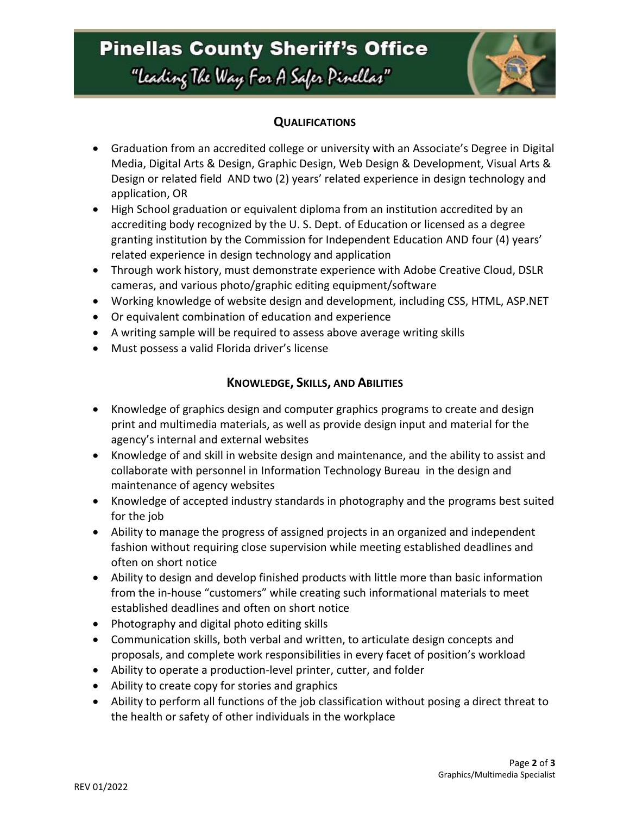## **Pinellas County Sheriff's Office** "Leading The Way For A Safer Pinellar"



### **QUALIFICATIONS**

- Graduation from an accredited college or university with an Associate's Degree in Digital Media, Digital Arts & Design, Graphic Design, Web Design & Development, Visual Arts & Design or related field AND two (2) years' related experience in design technology and application, OR
- High School graduation or equivalent diploma from an institution accredited by an accrediting body recognized by the U. S. Dept. of Education or licensed as a degree granting institution by the Commission for Independent Education AND four (4) years' related experience in design technology and application
- Through work history, must demonstrate experience with Adobe Creative Cloud, DSLR cameras, and various photo/graphic editing equipment/software
- Working knowledge of website design and development, including CSS, HTML, ASP.NET
- Or equivalent combination of education and experience
- A writing sample will be required to assess above average writing skills
- Must possess a valid Florida driver's license

### **KNOWLEDGE, SKILLS, AND ABILITIES**

- Knowledge of graphics design and computer graphics programs to create and design print and multimedia materials, as well as provide design input and material for the agency's internal and external websites
- Knowledge of and skill in website design and maintenance, and the ability to assist and collaborate with personnel in Information Technology Bureau in the design and maintenance of agency websites
- Knowledge of accepted industry standards in photography and the programs best suited for the job
- Ability to manage the progress of assigned projects in an organized and independent fashion without requiring close supervision while meeting established deadlines and often on short notice
- Ability to design and develop finished products with little more than basic information from the in-house "customers" while creating such informational materials to meet established deadlines and often on short notice
- Photography and digital photo editing skills
- Communication skills, both verbal and written, to articulate design concepts and proposals, and complete work responsibilities in every facet of position's workload
- Ability to operate a production-level printer, cutter, and folder
- Ability to create copy for stories and graphics
- Ability to perform all functions of the job classification without posing a direct threat to the health or safety of other individuals in the workplace